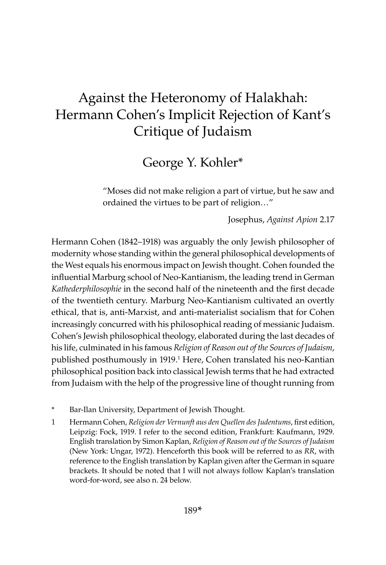## Against the Heteronomy of Halakhah: Hermann Cohen's Implicit Rejection of Kant's Critique of Judaism

## George Y. Kohler\*

"Moses did not make religion a part of virtue, but he saw and ordained the virtues to be part of religion…"

Josephus, *Against Apion* 2.17

Hermann Cohen (1842–1918) was arguably the only Jewish philosopher of modernity whose standing within the general philosophical developments of the West equals his enormous impact on Jewish thought. Cohen founded the influential Marburg school of Neo-Kantianism, the leading trend in German *Kathederphilosophie* in the second half of the nineteenth and the first decade of the twentieth century. Marburg Neo-Kantianism cultivated an overtly ethical, that is, anti-Marxist, and anti-materialist socialism that for Cohen increasingly concurred with his philosophical reading of messianic Judaism. Cohen's Jewish philosophical theology, elaborated during the last decades of his life, culminated in his famous *Religion of Reason out of the Sources of Judaism*, published posthumously in 1919.<sup>1</sup> Here, Cohen translated his neo-Kantian philosophical position back into classical Jewish terms that he had extracted from Judaism with the help of the progressive line of thought running from

- \* Bar-Ilan University, Department of Jewish Thought.
- 1 Hermann Cohen, *Religion der Vernunft aus den Quellen des Judentums*, first edition, Leipzig: Fock, 1919. I refer to the second edition, Frankfurt: Kaufmann, 1929. English translation by Simon Kaplan, *Religion of Reason out of the Sources of Judaism* (New York: Ungar, 1972). Henceforth this book will be referred to as *RR*, with reference to the English translation by Kaplan given after the German in square brackets. It should be noted that I will not always follow Kaplan's translation word-for-word, see also n. 24 below.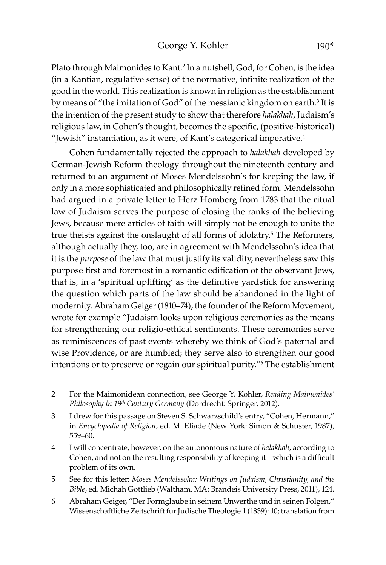Plato through Maimonides to Kant.<sup>2</sup> In a nutshell, God, for Cohen, is the idea (in a Kantian, regulative sense) of the normative, infinite realization of the good in the world. This realization is known in religion as the establishment by means of "the imitation of God" of the messianic kingdom on earth.<sup>3</sup> It is the intention of the present study to show that therefore *halakhah*, Judaism's religious law, in Cohen's thought, becomes the specific, (positive-historical) "Jewish" instantiation, as it were, of Kant's categorical imperative.<sup>4</sup>

Cohen fundamentally rejected the approach to *halakhah* developed by German-Jewish Reform theology throughout the nineteenth century and returned to an argument of Moses Mendelssohn's for keeping the law, if only in a more sophisticated and philosophically refined form. Mendelssohn had argued in a private letter to Herz Homberg from 1783 that the ritual law of Judaism serves the purpose of closing the ranks of the believing Jews, because mere articles of faith will simply not be enough to unite the true theists against the onslaught of all forms of idolatry.<sup>5</sup> The Reformers, although actually they, too, are in agreement with Mendelssohn's idea that it is the *purpose* of the law that must justify its validity, nevertheless saw this purpose first and foremost in a romantic edification of the observant Jews, that is, in a 'spiritual uplifting' as the definitive yardstick for answering the question which parts of the law should be abandoned in the light of modernity. Abraham Geiger (1810–74), the founder of the Reform Movement, wrote for example "Judaism looks upon religious ceremonies as the means for strengthening our religio-ethical sentiments. These ceremonies serve as reminiscences of past events whereby we think of God's paternal and wise Providence, or are humbled; they serve also to strengthen our good intentions or to preserve or regain our spiritual purity."6 The establishment

- 2 For the Maimonidean connection, see George Y. Kohler, *Reading Maimonides' Philosophy in 19th Century Germany* (Dordrecht: Springer, 2012)*.*
- 3 I drew for this passage on Steven S. Schwarzschild's entry, "Cohen, Hermann," in *Encyclopedia of Religion*, ed. M. Eliade (New York: Simon & Schuster, 1987), 559–60.
- 4 I will concentrate, however, on the autonomous nature of *halakhah*, according to Cohen, and not on the resulting responsibility of keeping it – which is a difficult problem of its own.
- 5 See for this letter: *Moses Mendelssohn: Writings on Judaism, Christianity, and the Bible*, ed. Michah Gottlieb (Waltham, MA: Brandeis University Press, 2011), 124.
- 6 Abraham Geiger, "Der Formglaube in seinem Unwerthe und in seinen Folgen," Wissenschaftliche Zeitschrift für Jüdische Theologie 1 (1839): 10; translation from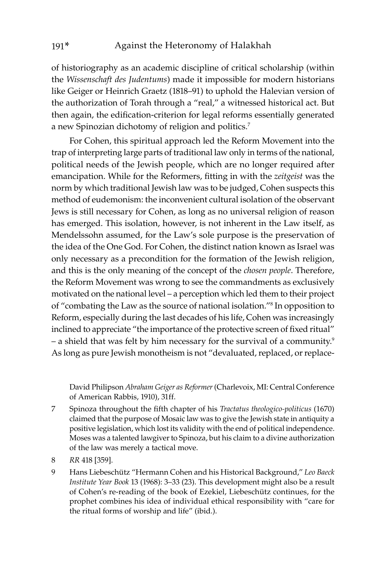of historiography as an academic discipline of critical scholarship (within the *Wissenschaft des Judentums*) made it impossible for modern historians like Geiger or Heinrich Graetz (1818–91) to uphold the Halevian version of the authorization of Torah through a "real," a witnessed historical act. But then again, the edification-criterion for legal reforms essentially generated a new Spinozian dichotomy of religion and politics.7

For Cohen, this spiritual approach led the Reform Movement into the trap of interpreting large parts of traditional law only in terms of the national, political needs of the Jewish people, which are no longer required after emancipation. While for the Reformers, fitting in with the *zeitgeist* was the norm by which traditional Jewish law was to be judged, Cohen suspects this method of eudemonism: the inconvenient cultural isolation of the observant Jews is still necessary for Cohen, as long as no universal religion of reason has emerged. This isolation, however, is not inherent in the Law itself, as Mendelssohn assumed, for the Law's sole purpose is the preservation of the idea of the One God. For Cohen, the distinct nation known as Israel was only necessary as a precondition for the formation of the Jewish religion, and this is the only meaning of the concept of the *chosen people*. Therefore, the Reform Movement was wrong to see the commandments as exclusively motivated on the national level – a perception which led them to their project of "combating the Law as the source of national isolation."8 In opposition to Reform, especially during the last decades of his life, Cohen was increasingly inclined to appreciate "the importance of the protective screen of fixed ritual" – a shield that was felt by him necessary for the survival of a community.9 As long as pure Jewish monotheism is not "devaluated, replaced, or replace-

David Philipson *Abraham Geiger as Reformer* (Charlevoix, MI: Central Conference of American Rabbis, 1910), 31ff.

- 7 Spinoza throughout the fifth chapter of his *Tractatus theologico-politicus* (1670) claimed that the purpose of Mosaic law was to give the Jewish state in antiquity a positive legislation, which lost its validity with the end of political independence. Moses was a talented lawgiver to Spinoza, but his claim to a divine authorization of the law was merely a tactical move.
- 8 *RR* 418 [359].
- 9 Hans Liebeschütz "Hermann Cohen and his Historical Background," *Leo Baeck Institute Year Book* 13 (1968): 3–33 (23). This development might also be a result of Cohen's re-reading of the book of Ezekiel, Liebeschütz continues, for the prophet combines his idea of individual ethical responsibility with "care for the ritual forms of worship and life" (ibid.).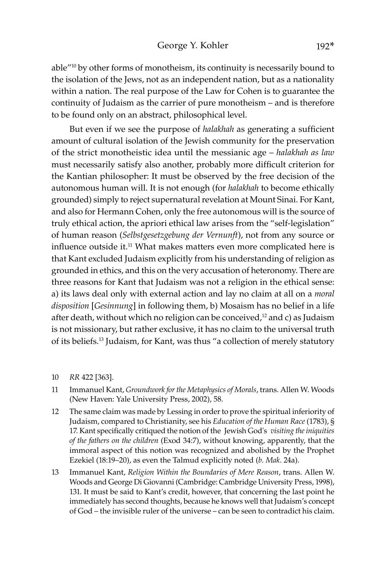able"10 by other forms of monotheism, its continuity is necessarily bound to the isolation of the Jews, not as an independent nation, but as a nationality within a nation. The real purpose of the Law for Cohen is to guarantee the continuity of Judaism as the carrier of pure monotheism – and is therefore to be found only on an abstract, philosophical level.

But even if we see the purpose of *halakhah* as generating a sufficient amount of cultural isolation of the Jewish community for the preservation of the strict monotheistic idea until the messianic age – *halakhah as law* must necessarily satisfy also another, probably more difficult criterion for the Kantian philosopher: It must be observed by the free decision of the autonomous human will. It is not enough (for *halakhah* to become ethically grounded) simply to reject supernatural revelation at Mount Sinai. For Kant, and also for Hermann Cohen, only the free autonomous will is the source of truly ethical action, the apriori ethical law arises from the "self-legislation" of human reason (*Selbstgesetzgebung der Vernunft*), not from any source or influence outside it.<sup>11</sup> What makes matters even more complicated here is that Kant excluded Judaism explicitly from his understanding of religion as grounded in ethics, and this on the very accusation of heteronomy. There are three reasons for Kant that Judaism was not a religion in the ethical sense: a) its laws deal only with external action and lay no claim at all on a *moral disposition* [*Gesinnung*] in following them, b) Mosaism has no belief in a life after death, without which no religion can be conceived, $12$  and c) as Judaism is not missionary, but rather exclusive, it has no claim to the universal truth of its beliefs.13 Judaism, for Kant, was thus "a collection of merely statutory

- 10 *RR* 422 [363].
- 11 Immanuel Kant, *Groundwork for the Metaphysics of Morals*, trans. Allen W. Woods (New Haven: Yale University Press, 2002), 58.
- 12 The same claim was made by Lessing in order to prove the spiritual inferiority of Judaism, compared to Christianity, see his *Education of the Human Race* (1783), § 17. Kant specifically critiqued the notion of the Jewish God's *visiting the iniquities of the fathers on the children* (Exod 34:7), without knowing, apparently, that the immoral aspect of this notion was recognized and abolished by the Prophet Ezekiel (18:19–20), as even the Talmud explicitly noted (*b. Mak*. 24a).
- 13 Immanuel Kant, *Religion Within the Boundaries of Mere Reason*, trans. Allen W. Woods and George Di Giovanni (Cambridge: Cambridge University Press, 1998), 131. It must be said to Kant's credit, however, that concerning the last point he immediately has second thoughts, because he knows well that Judaism's concept of God – the invisible ruler of the universe – can be seen to contradict his claim.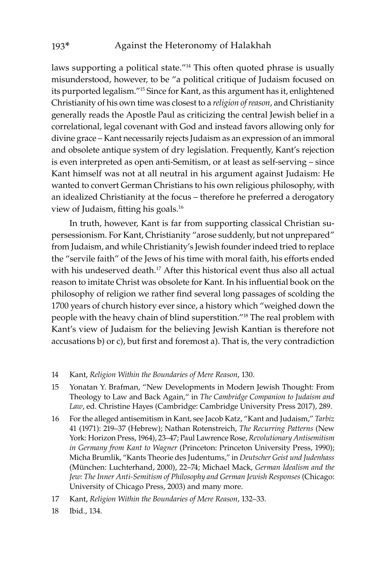laws supporting a political state."14 This often quoted phrase is usually misunderstood, however, to be "a political critique of Judaism focused on its purported legalism."15 Since for Kant, as this argument has it, enlightened Christianity of his own time was closest to a *religion of reason*, and Christianity generally reads the Apostle Paul as criticizing the central Jewish belief in a correlational, legal covenant with God and instead favors allowing only for divine grace – Kant necessarily rejects Judaism as an expression of an immoral and obsolete antique system of dry legislation. Frequently, Kant's rejection is even interpreted as open anti-Semitism, or at least as self-serving – since Kant himself was not at all neutral in his argument against Judaism: He wanted to convert German Christians to his own religious philosophy, with an idealized Christianity at the focus – therefore he preferred a derogatory view of Judaism, fitting his goals.<sup>16</sup>

In truth, however, Kant is far from supporting classical Christian supersessionism. For Kant, Christianity "arose suddenly, but not unprepared" from Judaism, and while Christianity's Jewish founder indeed tried to replace the "servile faith" of the Jews of his time with moral faith, his efforts ended with his undeserved death.<sup>17</sup> After this historical event thus also all actual reason to imitate Christ was obsolete for Kant. In his influential book on the philosophy of religion we rather find several long passages of scolding the 1700 years of church history ever since, a history which "weighed down the people with the heavy chain of blind superstition."18 The real problem with Kant's view of Judaism for the believing Jewish Kantian is therefore not accusations b) or c), but first and foremost a). That is, the very contradiction

- 15 Yonatan Y. Brafman, "New Developments in Modern Jewish Thought: From Theology to Law and Back Again," in *The Cambridge Companion to Judaism and Law*, ed. Christine Hayes (Cambridge: Cambridge University Press 2017), 289.
- 16 For the alleged antisemitism in Kant, see Jacob Katz, "Kant and Judaism," *Tarbiz* 41 (1971): 219–37 (Hebrew); Nathan Rotenstreich, *The Recurring Patterns* (New York: Horizon Press, 1964), 23–47; Paul Lawrence Rose, *Revolutionary Antisemitism in Germany from Kant to Wagner* (Princeton: Princeton University Press, 1990); Micha Brumlik, "Kants Theorie des Judentums," in *Deutscher Geist und Judenhass*  (München: Luchterhand, 2000), 22–74; Michael Mack, *German Idealism and the Jew: The Inner Anti-Semitism of Philosophy and German Jewish Responses* (Chicago: University of Chicago Press, 2003) and many more.
- 17 Kant, *Religion Within the Boundaries of Mere Reason*, 132–33.
- 18 Ibid., 134.

<sup>14</sup> Kant, *Religion Within the Boundaries of Mere Reason*, 130.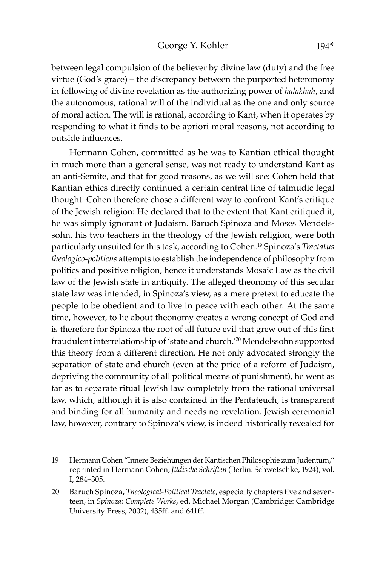between legal compulsion of the believer by divine law (duty) and the free virtue (God's grace) – the discrepancy between the purported heteronomy in following of divine revelation as the authorizing power of *halakhah*, and the autonomous, rational will of the individual as the one and only source of moral action. The will is rational, according to Kant, when it operates by responding to what it finds to be apriori moral reasons, not according to outside influences.

Hermann Cohen, committed as he was to Kantian ethical thought in much more than a general sense, was not ready to understand Kant as an anti-Semite, and that for good reasons, as we will see: Cohen held that Kantian ethics directly continued a certain central line of talmudic legal thought. Cohen therefore chose a different way to confront Kant's critique of the Jewish religion: He declared that to the extent that Kant critiqued it, he was simply ignorant of Judaism. Baruch Spinoza and Moses Mendelssohn, his two teachers in the theology of the Jewish religion, were both particularly unsuited for this task, according to Cohen.19 Spinoza's *Tractatus theologico-politicus* attempts to establish the independence of philosophy from politics and positive religion, hence it understands Mosaic Law as the civil law of the Jewish state in antiquity. The alleged theonomy of this secular state law was intended, in Spinoza's view, as a mere pretext to educate the people to be obedient and to live in peace with each other. At the same time, however, to lie about theonomy creates a wrong concept of God and is therefore for Spinoza the root of all future evil that grew out of this first fraudulent interrelationship of 'state and church.'20 Mendelssohn supported this theory from a different direction. He not only advocated strongly the separation of state and church (even at the price of a reform of Judaism, depriving the community of all political means of punishment), he went as far as to separate ritual Jewish law completely from the rational universal law, which, although it is also contained in the Pentateuch, is transparent and binding for all humanity and needs no revelation. Jewish ceremonial law, however, contrary to Spinoza's view, is indeed historically revealed for

<sup>19</sup> Hermann Cohen "Innere Beziehungen der Kantischen Philosophie zum Judentum," reprinted in Hermann Cohen, *Jüdische Schriften* (Berlin: Schwetschke, 1924), vol. I, 284–305.

<sup>20</sup> Baruch Spinoza, *Theological-Political Tractate*, especially chapters five and seventeen, in *Spinoza: Complete Works*, ed. Michael Morgan (Cambridge: Cambridge University Press, 2002), 435ff. and 641ff.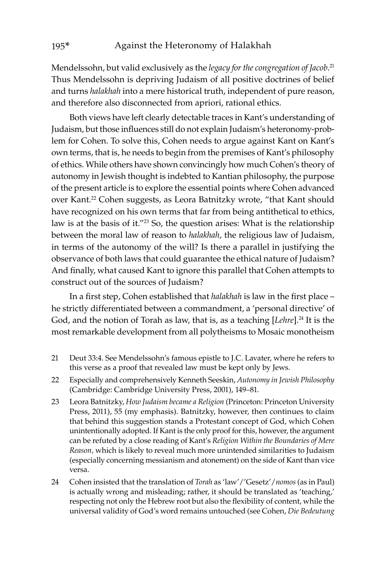Mendelssohn, but valid exclusively as the *legacy for the congregation of Jacob*. 21 Thus Mendelssohn is depriving Judaism of all positive doctrines of belief and turns *halakhah* into a mere historical truth, independent of pure reason, and therefore also disconnected from apriori, rational ethics.

Both views have left clearly detectable traces in Kant's understanding of Judaism, but those influences still do not explain Judaism's heteronomy-problem for Cohen. To solve this, Cohen needs to argue against Kant on Kant's own terms, that is, he needs to begin from the premises of Kant's philosophy of ethics. While others have shown convincingly how much Cohen's theory of autonomy in Jewish thought is indebted to Kantian philosophy, the purpose of the present article is to explore the essential points where Cohen advanced over Kant.<sup>22</sup> Cohen suggests, as Leora Batnitzky wrote, "that Kant should have recognized on his own terms that far from being antithetical to ethics, law is at the basis of it."23 So, the question arises: What is the relationship between the moral law of reason to *halakhah*, the religious law of Judaism, in terms of the autonomy of the will? Is there a parallel in justifying the observance of both laws that could guarantee the ethical nature of Judaism? And finally, what caused Kant to ignore this parallel that Cohen attempts to construct out of the sources of Judaism?

In a first step, Cohen established that *halakhah* is law in the first place – he strictly differentiated between a commandment, a 'personal directive' of God, and the notion of Torah as law, that is, as a teaching [*Lehre*].<sup>24</sup> It is the most remarkable development from all polytheisms to Mosaic monotheism

- 21 Deut 33:4. See Mendelssohn's famous epistle to J.C. Lavater, where he refers to this verse as a proof that revealed law must be kept only by Jews.
- 22 Especially and comprehensively Kenneth Seeskin, *Autonomy in Jewish Philosophy* (Cambridge: Cambridge University Press, 2001), 149–81.
- 23 Leora Batnitzky, *How Judaism became a Religion* (Princeton: Princeton University Press, 2011), 55 (my emphasis). Batnitzky, however, then continues to claim that behind this suggestion stands a Protestant concept of God, which Cohen unintentionally adopted. If Kant is the only proof for this, however, the argument can be refuted by a close reading of Kant's *Religion Within the Boundaries of Mere Reason,* which is likely to reveal much more unintended similarities to Judaism (especially concerning messianism and atonement) on the side of Kant than vice versa.
- 24 Cohen insisted that the translation of *Torah* as 'law'/'Gesetz'/*nomos* (as in Paul) is actually wrong and misleading; rather, it should be translated as 'teaching,' respecting not only the Hebrew root but also the flexibility of content, while the universal validity of God's word remains untouched (see Cohen, *Die Bedeutung*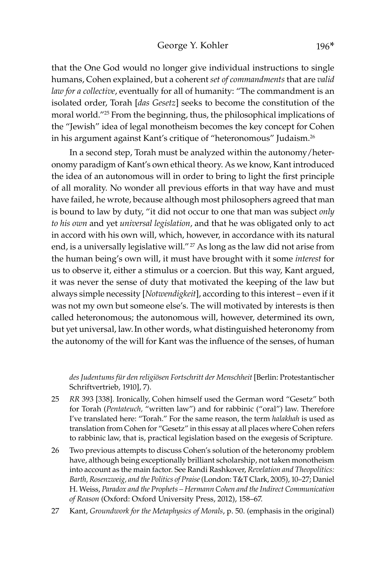that the One God would no longer give individual instructions to single humans, Cohen explained, but a coherent *set of commandments* that are *valid law for a collective*, eventually for all of humanity: "The commandment is an isolated order, Torah [*das Gesetz*] seeks to become the constitution of the moral world."25 From the beginning, thus, the philosophical implications of the "Jewish" idea of legal monotheism becomes the key concept for Cohen in his argument against Kant's critique of "heteronomous" Judaism.26

In a second step, Torah must be analyzed within the autonomy/heteronomy paradigm of Kant's own ethical theory. As we know, Kant introduced the idea of an autonomous will in order to bring to light the first principle of all morality. No wonder all previous efforts in that way have and must have failed, he wrote, because although most philosophers agreed that man is bound to law by duty, "it did not occur to one that man was subject *only to his own* and yet *universal legislation*, and that he was obligated only to act in accord with his own will, which, however, in accordance with its natural end, is a universally legislative will."<sup>27</sup> As long as the law did not arise from the human being's own will, it must have brought with it some *interest* for us to observe it, either a stimulus or a coercion. But this way, Kant argued, it was never the sense of duty that motivated the keeping of the law but always simple necessity [*Notwendigkeit*], according to this interest – even if it was not my own but someone else's. The will motivated by interests is then called heteronomous; the autonomous will, however, determined its own, but yet universal, law.In other words, what distinguished heteronomy from the autonomy of the will for Kant was the influence of the senses, of human

*des Judentums für den religiösen Fortschritt der Menschheit* [Berlin: Protestantischer Schriftvertrieb, 1910], 7).

- 25 *RR* 393 [338]. Ironically, Cohen himself used the German word "Gesetz" both for Torah (*Pentateuch,* "written law") and for rabbinic ("oral") law. Therefore I've translated here: "Torah." For the same reason, the term *halakhah* is used as translation from Cohen for "Gesetz" in this essay at all places where Cohen refers to rabbinic law, that is, practical legislation based on the exegesis of Scripture.
- 26 Two previous attempts to discuss Cohen's solution of the heteronomy problem have, although being exceptionally brilliant scholarship, not taken monotheism into account as the main factor. See Randi Rashkover, *Revelation and Theopolitics: Barth, Rosenzweig, and the Politics of Praise* (London: T&T Clark, 2005), 10–27; Daniel H. Weiss, *Paradox and the Prophets – Hermann Cohen and the Indirect Communication of Reason* (Oxford: Oxford University Press, 2012), 158–67.
- 27 Kant, *Groundwork for the Metaphysics of Morals*, p. 50. (emphasis in the original)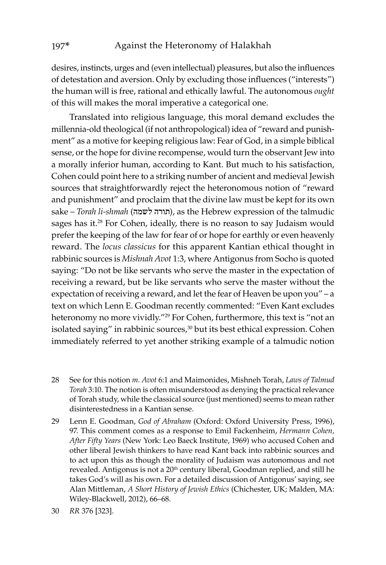desires, instincts, urges and (even intellectual) pleasures, but also the influences of detestation and aversion. Only by excluding those influences ("interests") the human will is free, rational and ethically lawful. The autonomous *ought* of this will makes the moral imperative a categorical one.

Translated into religious language, this moral demand excludes the millennia-old theological (if not anthropological) idea of "reward and punishment" as a motive for keeping religious law: Fear of God, in a simple biblical sense, or the hope for divine recompense, would turn the observant Jew into a morally inferior human, according to Kant. But much to his satisfaction, Cohen could point here to a striking number of ancient and medieval Jewish sources that straightforwardly reject the heteronomous notion of "reward and punishment" and proclaim that the divine law must be kept for its own sake – *Torah li-shmah* (תורה לשמה), as the Hebrew expression of the talmudic sages has it.<sup>28</sup> For Cohen, ideally, there is no reason to say Judaism would prefer the keeping of the law for fear of or hope for earthly or even heavenly reward. The *locus classicus* for this apparent Kantian ethical thought in rabbinic sources is *Mishnah Avot* 1:3, where Antigonus from Socho is quoted saying: "Do not be like servants who serve the master in the expectation of receiving a reward, but be like servants who serve the master without the expectation of receiving a reward, and let the fear of Heaven be upon you" – a text on which Lenn E. Goodman recently commented: "Even Kant excludes heteronomy no more vividly."29 For Cohen, furthermore, this text is "not an isolated saying" in rabbinic sources,<sup>30</sup> but its best ethical expression. Cohen immediately referred to yet another striking example of a talmudic notion

- 28 See for this notion *m. Avot* 6:1 and Maimonides, Mishneh Torah, *Laws of Talmud Torah* 3:10. The notion is often misunderstood as denying the practical relevance of Torah study, while the classical source (just mentioned) seems to mean rather disinterestedness in a Kantian sense.
- 29 Lenn E. Goodman, *God of Abraham* (Oxford: Oxford University Press, 1996), 97. This comment comes as a response to Emil Fackenheim, *Hermann Cohen, After Fifty Years* (New York: Leo Baeck Institute, 1969) who accused Cohen and other liberal Jewish thinkers to have read Kant back into rabbinic sources and to act upon this as though the morality of Judaism was autonomous and not revealed. Antigonus is not a 20<sup>th</sup> century liberal, Goodman replied, and still he takes God's will as his own. For a detailed discussion of Antigonus' saying, see Alan Mittleman, *A Short History of Jewish Ethics* (Chichester, UK; Malden, MA: Wiley-Blackwell, 2012), 66–68.
- 30 *RR* 376 [323].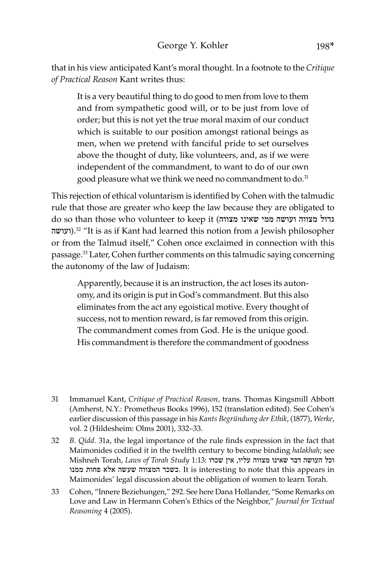that in his view anticipated Kant's moral thought. In a footnote to the *Critique of Practical Reason* Kant writes thus:

It is a very beautiful thing to do good to men from love to them and from sympathetic good will, or to be just from love of order; but this is not yet the true moral maxim of our conduct which is suitable to our position amongst rational beings as men, when we pretend with fanciful pride to set ourselves above the thought of duty, like volunteers, and, as if we were independent of the commandment, to want to do of our own good pleasure what we think we need no commandment to do.<sup>31</sup>

This rejection of ethical voluntarism is identified by Cohen with the talmudic rule that those are greater who keep the law because they are obligated to do so than those who volunteer to keep it (מצווה שאינו ממי ועושה מצווה גדול ועושה).<sup>32</sup> "It is as if Kant had learned this notion from a Jewish philosopher or from the Talmud itself," Cohen once exclaimed in connection with this passage.33 Later, Cohen further comments on this talmudic saying concerning the autonomy of the law of Judaism:

Apparently, because it is an instruction, the act loses its autonomy, and its origin is put in God's commandment. But this also eliminates from the act any egoistical motive. Every thought of success, not to mention reward, is far removed from this origin. The commandment comes from God. He is the unique good. His commandment is therefore the commandment of goodness

- 32 *B. Qidd.* 31a, the legal importance of the rule finds expression in the fact that Maimonides codified it in the twelfth century to become binding *halakhah*; see וכל העושה דבר שאינו מצווה עליו, אין שכרו 1:13: Mishneh Torah, Laws of Torah Study 1 ממנו פחות אלא שעשה המצווה כשכר. It is interesting to note that this appears in Maimonides' legal discussion about the obligation of women to learn Torah.
- 33 Cohen, "Innere Beziehungen," 292. See here Dana Hollander, "Some Remarks on Love and Law in Hermann Cohen's Ethics of the Neighbor," *Journal for Textual Reasoning* 4 (2005).

<sup>31</sup> Immanuel Kant, *Critique of Practical Reason,* trans. Thomas Kingsmill Abbott (Amherst, N.Y.: Prometheus Books 1996), 152 (translation edited). See Cohen's earlier discussion of this passage in his *Kants Begründung der Ethik*, (1877), *Werke*, vol. 2 (Hildesheim: Olms 2001), 332–33.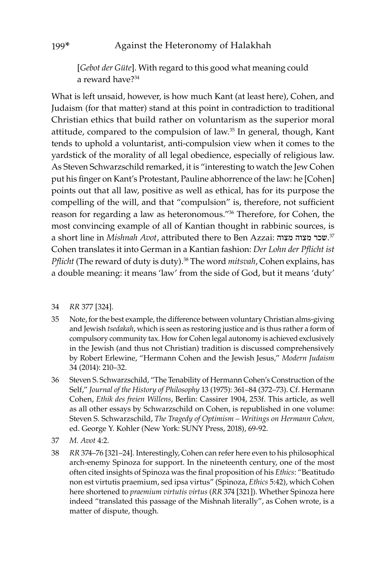[*Gebot der Güte*]. With regard to this good what meaning could a reward have?34

What is left unsaid, however, is how much Kant (at least here), Cohen, and Judaism (for that matter) stand at this point in contradiction to traditional Christian ethics that build rather on voluntarism as the superior moral attitude, compared to the compulsion of law.35 In general, though, Kant tends to uphold a voluntarist, anti-compulsion view when it comes to the yardstick of the morality of all legal obedience, especially of religious law. As Steven Schwarzschild remarked, it is "interesting to watch the Jew Cohen put his finger on Kant's Protestant, Pauline abhorrence of the law: he [Cohen] points out that all law, positive as well as ethical, has for its purpose the compelling of the will, and that "compulsion" is, therefore, not sufficient reason for regarding a law as heteronomous."36 Therefore, for Cohen, the most convincing example of all of Kantian thought in rabbinic sources, is a short line in *Mishnah Avot*, attributed there to Ben Azzai: מצוה מצוה שכר. 37 Cohen translates it into German in a Kantian fashion: *Der Lohn der Pflicht ist Pflicht* (The reward of duty is duty).<sup>38</sup> The word *mitsvah*, Cohen explains, has a double meaning: it means 'law' from the side of God, but it means 'duty'

## 34 *RR* 377 [324].

- 35 Note, for the best example, the difference between voluntary Christian alms-giving and Jewish *tsedakah*, which is seen as restoring justice and is thus rather a form of compulsory community tax. How for Cohen legal autonomy is achieved exclusively in the Jewish (and thus not Christian) tradition is discussed comprehensively by Robert Erlewine, "Hermann Cohen and the Jewish Jesus," *Modern Judaism* 34 (2014): 210–32.
- 36 Steven S. Schwarzschild, "The Tenability of Hermann Cohen's Construction of the Self," *Journal of the History of Philosophy* 13 (1975): 361–84 (372–73). Cf. Hermann Cohen, *Ethik des freien Willens*, Berlin: Cassirer 1904, 253f. This article, as well as all other essays by Schwarzschild on Cohen, is republished in one volume: Steven S. Schwarzschild, *The Tragedy of Optimism – Writings on Hermann Cohen,*  ed. George Y. Kohler (New York: SUNY Press, 2018), 69-92.
- 37 *M. Avot* 4:2.
- 38 *RR* 374–76 [321–24]. Interestingly, Cohen can refer here even to his philosophical arch-enemy Spinoza for support. In the nineteenth century, one of the most often cited insights of Spinoza was the final proposition of his *Ethics*: "Beatitudo non est virtutis praemium, sed ipsa virtus" (Spinoza, *Ethics* 5:42), which Cohen here shortened to *praemium virtutis virtus* (*RR* 374 [321]). Whether Spinoza here indeed "translated this passage of the Mishnah literally", as Cohen wrote, is a matter of dispute, though.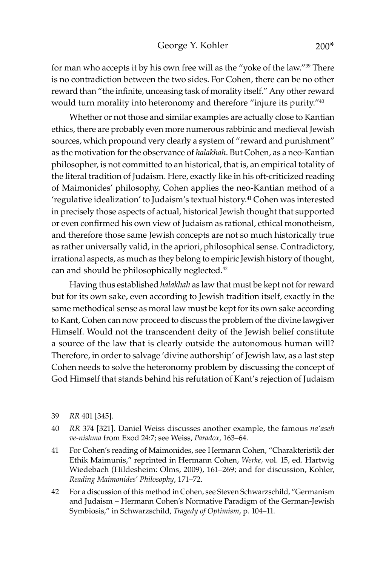for man who accepts it by his own free will as the "yoke of the law."39 There is no contradiction between the two sides. For Cohen, there can be no other reward than "the infinite, unceasing task of morality itself." Any other reward would turn morality into heteronomy and therefore "injure its purity."40

Whether or not those and similar examples are actually close to Kantian ethics, there are probably even more numerous rabbinic and medieval Jewish sources, which propound very clearly a system of "reward and punishment" as the motivation for the observance of *halakhah*. But Cohen, as a neo-Kantian philosopher, is not committed to an historical, that is, an empirical totality of the literal tradition of Judaism. Here, exactly like in his oft-criticized reading of Maimonides' philosophy, Cohen applies the neo-Kantian method of a 'regulative idealization' to Judaism's textual history.41 Cohen was interested in precisely those aspects of actual, historical Jewish thought that supported or even confirmed his own view of Judaism as rational, ethical monotheism, and therefore those same Jewish concepts are not so much historically true as rather universally valid, in the apriori, philosophical sense. Contradictory, irrational aspects, as much as they belong to empiric Jewish history of thought, can and should be philosophically neglected.<sup>42</sup>

Having thus established *halakhah* as law that must be kept not for reward but for its own sake, even according to Jewish tradition itself, exactly in the same methodical sense as moral law must be kept for its own sake according to Kant, Cohen can now proceed to discuss the problem of the divine lawgiver Himself. Would not the transcendent deity of the Jewish belief constitute a source of the law that is clearly outside the autonomous human will? Therefore, in order to salvage 'divine authorship' of Jewish law, as a last step Cohen needs to solve the heteronomy problem by discussing the concept of God Himself that stands behind his refutation of Kant's rejection of Judaism

- 39 *RR* 401 [345].
- 40 *RR* 374 [321]. Daniel Weiss discusses another example, the famous *na'aseh ve-nishma* from Exod 24:7; see Weiss, *Paradox*, 163–64.
- 41 For Cohen's reading of Maimonides, see Hermann Cohen, "Charakteristik der Ethik Maimunis," reprinted in Hermann Cohen, *Werke,* vol. 15, ed. Hartwig Wiedebach (Hildesheim: Olms, 2009), 161–269; and for discussion, Kohler, *Reading Maimonides' Philosophy*, 171–72.
- 42 For a discussion of this method in Cohen, see Steven Schwarzschild, "Germanism and Judaism – Hermann Cohen's Normative Paradigm of the German-Jewish Symbiosis," in Schwarzschild, *Tragedy of Optimism*, p. 104–11.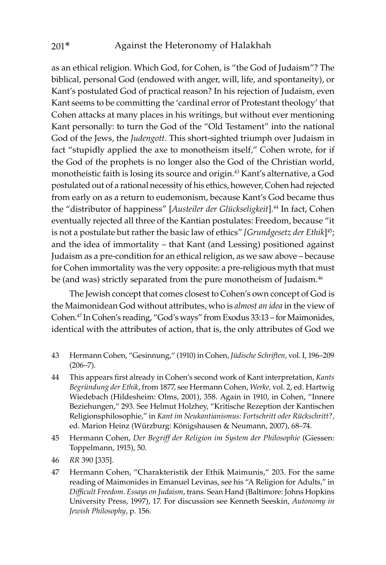as an ethical religion. Which God, for Cohen, is "the God of Judaism"? The biblical, personal God (endowed with anger, will, life, and spontaneity), or Kant's postulated God of practical reason? In his rejection of Judaism, even Kant seems to be committing the 'cardinal error of Protestant theology' that Cohen attacks at many places in his writings, but without ever mentioning Kant personally: to turn the God of the "Old Testament" into the national God of the Jews, the *Judengott*. This short-sighted triumph over Judaism in fact "stupidly applied the axe to monotheism itself," Cohen wrote, for if the God of the prophets is no longer also the God of the Christian world, monotheistic faith is losing its source and origin.43 Kant's alternative, a God postulated out of a rational necessity of his ethics, however, Cohen had rejected from early on as a return to eudemonism, because Kant's God became thus the "distributor of happiness" [*Austeiler der Glückseligkeit*].44 In fact, Cohen eventually rejected all three of the Kantian postulates: Freedom, because "it is not a postulate but rather the basic law of ethics" *[Grundgesetz der Ethik*]<sup>45</sup>; and the idea of immortality – that Kant (and Lessing) positioned against Judaism as a pre-condition for an ethical religion, as we saw above – because for Cohen immortality was the very opposite: a pre-religious myth that must be (and was) strictly separated from the pure monotheism of Judaism.<sup>46</sup>

The Jewish concept that comes closest to Cohen's own concept of God is the Maimonidean God without attributes, who is *almost an idea* in the view of Cohen.47 In Cohen's reading, "God's ways" from Exodus 33:13 – for Maimonides, identical with the attributes of action, that is, the only attributes of God we

- 43 Hermann Cohen, "Gesinnung," (1910) in Cohen, *Jüdische Schriften*, vol. I, 196–209  $(206 - 7)$ .
- 44 This appears first already in Cohen's second work of Kant interpretation, *Kants Begründung der Ethik*, from 1877, see Hermann Cohen, *Werke,* vol. 2, ed. Hartwig Wiedebach (Hildesheim: Olms, 2001), 358. Again in 1910, in Cohen, "Innere Beziehungen," 293. See Helmut Holzhey, "Kritische Rezeption der Kantischen Religionsphilosophie," in *Kant im Neukantianismus: Fortschritt oder Rückschritt?,* ed. Marion Heinz (Würzburg: Königshausen & Neumann, 2007), 68–74.
- 45 Hermann Cohen, *Der Begriff der Religion im System der Philosophie* (Giessen: Toppelmann, 1915), 50.
- 46 *RR* 390 [335].
- 47 Hermann Cohen, "Charakteristik der Ethik Maimunis," 203. For the same reading of Maimonides in Emanuel Levinas, see his "A Religion for Adults," in *Difficult Freedom. Essays on Judaism*, trans. Sean Hand (Baltimore: Johns Hopkins University Press, 1997), 17. For discussion see Kenneth Seeskin, *Autonomy in Jewish Philosophy*, p. 156.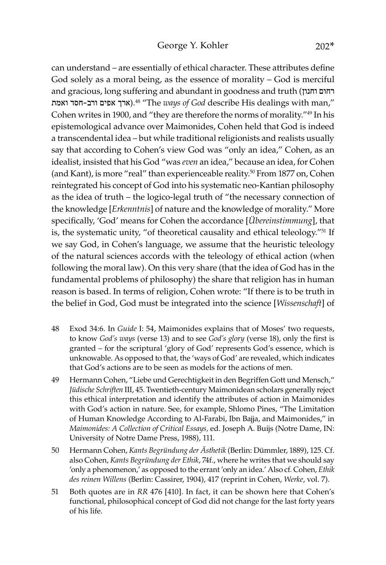can understand – are essentially of ethical character. These attributes define God solely as a moral being, as the essence of morality – God is merciful and gracious, long suffering and abundant in goodness and truth (וחנון רחום וארך אפים ורב-חסד ואמת).<sup>48</sup> "The *ways of God* describe His dealings with man," Cohen writes in 1900, and "they are therefore the norms of morality."49 In his epistemological advance over Maimonides, Cohen held that God is indeed a transcendental idea – but while traditional religionists and realists usually say that according to Cohen's view God was "only an idea," Cohen, as an idealist, insisted that his God "was *even* an idea," because an idea, for Cohen (and Kant), is more "real" than experienceable reality.50 From 1877 on, Cohen reintegrated his concept of God into his systematic neo-Kantian philosophy as the idea of truth – the logico-legal truth of "the necessary connection of the knowledge [*Erkenntnis*] of nature and the knowledge of morality." More specifically, 'God' means for Cohen the accordance [*Übereinstimmung*], that is, the systematic unity, "of theoretical causality and ethical teleology."<sup>51</sup> If we say God, in Cohen's language, we assume that the heuristic teleology of the natural sciences accords with the teleology of ethical action (when following the moral law). On this very share (that the idea of God has in the fundamental problems of philosophy) the share that religion has in human reason is based. In terms of religion, Cohen wrote: "If there is to be truth in the belief in God, God must be integrated into the science [*Wissenschaft*] of

- 48 Exod 34:6. In *Guide* I: 54, Maimonides explains that of Moses' two requests, to know *God's ways* (verse 13) and to see *God's glory* (verse 18), only the first is granted – for the scriptural 'glory of God' represents God's essence, which is unknowable. As opposed to that, the 'ways of God' are revealed, which indicates that God's actions are to be seen as models for the actions of men.
- 49 Hermann Cohen, "Liebe und Gerechtigkeit in den Begriffen Gott und Mensch," *Jüdische Schriften* III, 45. Twentieth-century Maimonidean scholars generally reject this ethical interpretation and identify the attributes of action in Maimonides with God's action in nature. See, for example, Shlomo Pines, "The Limitation of Human Knowledge According to Al-Farabi, Ibn Bajja, and Maimonides," in *Maimonides: A Collection of Critical Essays,* ed. Joseph A. Buijs (Notre Dame, IN: University of Notre Dame Press, 1988), 111.
- 50 Hermann Cohen, *Kants Begründung der Ästhetik* (Berlin: Dümmler, 1889), 125. Cf. also Cohen, *Kants Begründung der Ethik*, 74f., where he writes that we should say 'only a phenomenon,' as opposed to the errant 'only an idea.' Also cf*.* Cohen, *Ethik des reinen Willens* (Berlin: Cassirer, 1904), 417 (reprint in Cohen, *Werke*, vol. 7).
- 51 Both quotes are in *RR* 476 [410]. In fact, it can be shown here that Cohen's functional, philosophical concept of God did not change for the last forty years of his life.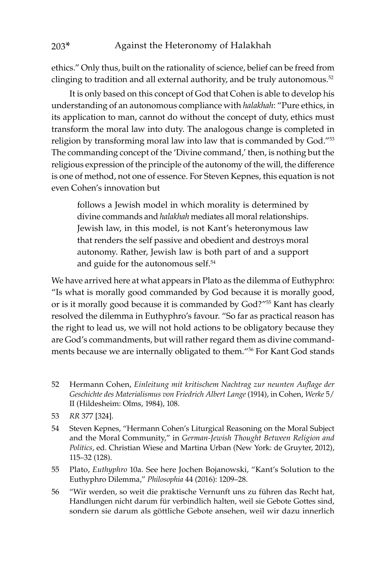ethics." Only thus, built on the rationality of science, belief can be freed from clinging to tradition and all external authority, and be truly autonomous.<sup>52</sup>

It is only based on this concept of God that Cohen is able to develop his understanding of an autonomous compliance with *halakhah*: "Pure ethics, in its application to man, cannot do without the concept of duty, ethics must transform the moral law into duty. The analogous change is completed in religion by transforming moral law into law that is commanded by God."<sup>53</sup> The commanding concept of the 'Divine command,' then, is nothing but the religious expression of the principle of the autonomy of the will, the difference is one of method, not one of essence. For Steven Kepnes, this equation is not even Cohen's innovation but

follows a Jewish model in which morality is determined by divine commands and *halakhah* mediates all moral relationships. Jewish law, in this model, is not Kant's heteronymous law that renders the self passive and obedient and destroys moral autonomy. Rather, Jewish law is both part of and a support and guide for the autonomous self.<sup>54</sup>

We have arrived here at what appears in Plato as the dilemma of Euthyphro: "Is what is morally good commanded by God because it is morally good, or is it morally good because it is commanded by God?"55 Kant has clearly resolved the dilemma in Euthyphro's favour. "So far as practical reason has the right to lead us, we will not hold actions to be obligatory because they are God's commandments, but will rather regard them as divine commandments because we are internally obligated to them."56 For Kant God stands

- 52 Hermann Cohen, *Einleitung mit kritischem Nachtrag zur neunten Auflage der Geschichte des Materialismus von Friedrich Albert Lange* (1914), in Cohen, *Werke* 5/ II (Hildesheim: Olms, 1984), 108.
- 53 *RR* 377 [324].
- 54 Steven Kepnes, "Hermann Cohen's Liturgical Reasoning on the Moral Subject and the Moral Community," in *German-Jewish Thought Between Religion and Politics*, ed. Christian Wiese and Martina Urban (New York: de Gruyter, 2012), 115–32 (128).
- 55 Plato, *Euthyphro* 10a. See here Jochen Bojanowski, "Kant's Solution to the Euthyphro Dilemma," *Philosophia* 44 (2016): 1209–28.
- 56 "Wir werden, so weit die praktische Vernunft uns zu führen das Recht hat, Handlungen nicht darum für verbindlich halten, weil sie Gebote Gottes sind, sondern sie darum als göttliche Gebote ansehen, weil wir dazu innerlich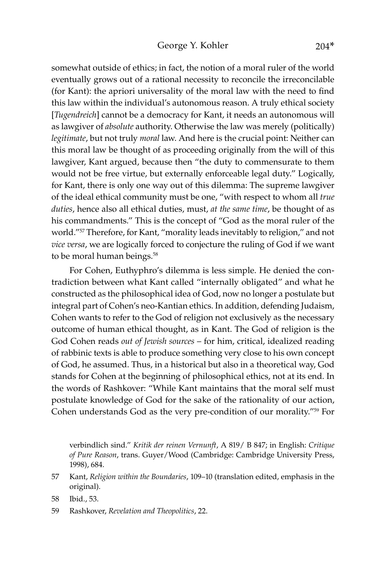somewhat outside of ethics; in fact, the notion of a moral ruler of the world eventually grows out of a rational necessity to reconcile the irreconcilable (for Kant): the apriori universality of the moral law with the need to find this law within the individual's autonomous reason. A truly ethical society [*Tugendreich*] cannot be a democracy for Kant, it needs an autonomous will as lawgiver of *absolute* authority. Otherwise the law was merely (politically) *legitimate*, but not truly *moral* law. And here is the crucial point: Neither can this moral law be thought of as proceeding originally from the will of this lawgiver, Kant argued, because then "the duty to commensurate to them would not be free virtue, but externally enforceable legal duty." Logically, for Kant, there is only one way out of this dilemma: The supreme lawgiver of the ideal ethical community must be one, "with respect to whom all *true duties*, hence also all ethical duties, must, *at the same time*, be thought of as his commandments." This is the concept of "God as the moral ruler of the world."57 Therefore, for Kant, "morality leads inevitably to religion," and not *vice versa*, we are logically forced to conjecture the ruling of God if we want to be moral human beings.<sup>58</sup>

For Cohen, Euthyphro's dilemma is less simple. He denied the contradiction between what Kant called "internally obligated" and what he constructed as the philosophical idea of God, now no longer a postulate but integral part of Cohen's neo-Kantian ethics. In addition, defending Judaism, Cohen wants to refer to the God of religion not exclusively as the necessary outcome of human ethical thought, as in Kant. The God of religion is the God Cohen reads *out of Jewish sources* – for him, critical, idealized reading of rabbinic texts is able to produce something very close to his own concept of God, he assumed. Thus, in a historical but also in a theoretical way, God stands for Cohen at the beginning of philosophical ethics, not at its end. In the words of Rashkover: "While Kant maintains that the moral self must postulate knowledge of God for the sake of the rationality of our action, Cohen understands God as the very pre-condition of our morality."59 For

verbindlich sind." *Kritik der reinen Vernunft*, A 819/ B 847; in English: *Critique of Pure Reason*, trans. Guyer/Wood (Cambridge: Cambridge University Press, 1998), 684.

- 57 Kant, *Religion within the Boundaries*, 109–10 (translation edited, emphasis in the original).
- 58 Ibid., 53.
- 59 Rashkover, *Revelation and Theopolitics*, 22.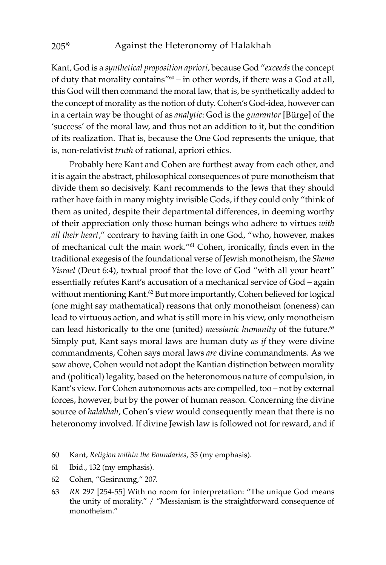Kant, God is a *synthetical proposition apriori*, because God "*exceeds* the concept of duty that morality contains"60 – in other words, if there was a God at all, this God will then command the moral law, that is, be synthetically added to the concept of morality as the notion of duty. Cohen's God-idea, however can in a certain way be thought of as *analytic*: God is the *guarantor* [Bürge] of the 'success' of the moral law, and thus not an addition to it, but the condition of its realization. That is, because the One God represents the unique, that is, non-relativist *truth* of rational, apriori ethics.

Probably here Kant and Cohen are furthest away from each other, and it is again the abstract, philosophical consequences of pure monotheism that divide them so decisively. Kant recommends to the Jews that they should rather have faith in many mighty invisible Gods, if they could only "think of them as united, despite their departmental differences, in deeming worthy of their appreciation only those human beings who adhere to virtues *with all their heart*," contrary to having faith in one God, "who, however, makes of mechanical cult the main work."61 Cohen, ironically, finds even in the traditional exegesis of the foundational verse of Jewish monotheism, the *Shema Yisrael* (Deut 6:4), textual proof that the love of God "with all your heart" essentially refutes Kant's accusation of a mechanical service of God – again without mentioning Kant.<sup>62</sup> But more importantly, Cohen believed for logical (one might say mathematical) reasons that only monotheism (oneness) can lead to virtuous action, and what is still more in his view, only monotheism can lead historically to the one (united) *messianic humanity* of the future.<sup>63</sup> Simply put, Kant says moral laws are human duty *as if* they were divine commandments, Cohen says moral laws *are* divine commandments. As we saw above, Cohen would not adopt the Kantian distinction between morality and (political) legality, based on the heteronomous nature of compulsion, in Kant's view. For Cohen autonomous acts are compelled, too – not by external forces, however, but by the power of human reason. Concerning the divine source of *halakhah*, Cohen's view would consequently mean that there is no heteronomy involved. If divine Jewish law is followed not for reward, and if

- 60 Kant, *Religion within the Boundaries*, 35 (my emphasis).
- 61 Ibid., 132 (my emphasis).
- 62 Cohen, "Gesinnung," 207.
- 63 *RR* 297 [254-55] With no room for interpretation: "The unique God means the unity of morality." / "Messianism is the straightforward consequence of monotheism."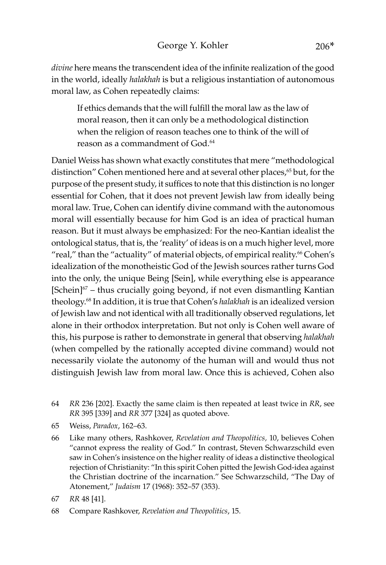*divine* here means the transcendent idea of the infinite realization of the good in the world, ideally *halakhah* is but a religious instantiation of autonomous moral law, as Cohen repeatedly claims:

If ethics demands that the will fulfill the moral law as the law of moral reason, then it can only be a methodological distinction when the religion of reason teaches one to think of the will of reason as a commandment of God.64

Daniel Weiss has shown what exactly constitutes that mere "methodological distinction" Cohen mentioned here and at several other places,<sup>65</sup> but, for the purpose of the present study, it suffices to note that this distinction is no longer essential for Cohen, that it does not prevent Jewish law from ideally being moral law. True, Cohen can identify divine command with the autonomous moral will essentially because for him God is an idea of practical human reason. But it must always be emphasized: For the neo-Kantian idealist the ontological status, that is, the 'reality' of ideas is on a much higher level, more "real," than the "actuality" of material objects, of empirical reality.<sup>66</sup> Cohen's idealization of the monotheistic God of the Jewish sources rather turns God into the only, the unique Being [Sein], while everything else is appearance  $[Schein]^{67}$  – thus crucially going beyond, if not even dismantling Kantian theology.68 In addition, it is true that Cohen's *halakhah* is an idealized version of Jewish law and not identical with all traditionally observed regulations, let alone in their orthodox interpretation. But not only is Cohen well aware of this, his purpose is rather to demonstrate in general that observing *halakhah* (when compelled by the rationally accepted divine command) would not necessarily violate the autonomy of the human will and would thus not distinguish Jewish law from moral law. Once this is achieved, Cohen also

- 64 *RR* 236 [202]. Exactly the same claim is then repeated at least twice in *RR*, see *RR* 395 [339] and *RR* 377 [324] as quoted above.
- 65 Weiss, *Paradox*, 162–63.
- 66 Like many others, Rashkover, *Revelation and Theopolitics,* 10, believes Cohen "cannot express the reality of God." In contrast, Steven Schwarzschild even saw in Cohen's insistence on the higher reality of ideas a distinctive theological rejection of Christianity: "In this spirit Cohen pitted the Jewish God-idea against the Christian doctrine of the incarnation." See Schwarzschild, "The Day of Atonement," *Judaism* 17 (1968): 352–57 (353).

<sup>67</sup> *RR* 48 [41].

<sup>68</sup> Compare Rashkover, *Revelation and Theopolitics*, 15.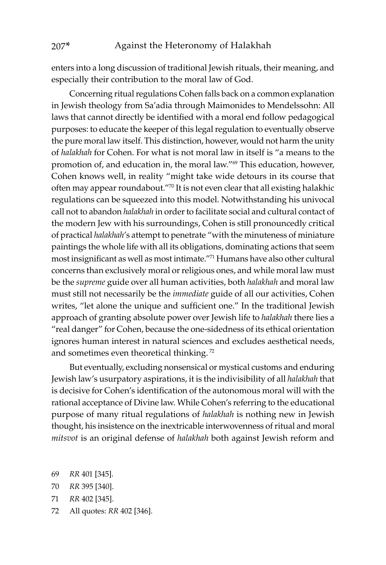enters into a long discussion of traditional Jewish rituals, their meaning, and especially their contribution to the moral law of God.

Concerning ritual regulations Cohen falls back on a common explanation in Jewish theology from Sa'adia through Maimonides to Mendelssohn: All laws that cannot directly be identified with a moral end follow pedagogical purposes: to educate the keeper of this legal regulation to eventually observe the pure moral law itself. This distinction, however, would not harm the unity of *halakhah* for Cohen. For what is not moral law in itself is "a means to the promotion of, and education in, the moral law."69 This education, however, Cohen knows well, in reality "might take wide detours in its course that often may appear roundabout."70 It is not even clear that all existing halakhic regulations can be squeezed into this model. Notwithstanding his univocal call not to abandon *halakhah* in order to facilitate social and cultural contact of the modern Jew with his surroundings, Cohen is still pronouncedly critical of practical *halakhah*'s attempt to penetrate "with the minuteness of miniature paintings the whole life with all its obligations, dominating actions that seem most insignificant as well as most intimate."71 Humans have also other cultural concerns than exclusively moral or religious ones, and while moral law must be the *supreme* guide over all human activities, both *halakhah* and moral law must still not necessarily be the *immediate* guide of all our activities, Cohen writes, "let alone the unique and sufficient one." In the traditional Jewish approach of granting absolute power over Jewish life to *halakhah* there lies a "real danger" for Cohen, because the one-sidedness of its ethical orientation ignores human interest in natural sciences and excludes aesthetical needs, and sometimes even theoretical thinking.<sup>72</sup>

But eventually, excluding nonsensical or mystical customs and enduring Jewish law's usurpatory aspirations, it is the indivisibility of all *halakhah* that is decisive for Cohen's identification of the autonomous moral will with the rational acceptance of Divine law. While Cohen's referring to the educational purpose of many ritual regulations of *halakhah* is nothing new in Jewish thought, his insistence on the inextricable interwovenness of ritual and moral *mitsvot* is an original defense of *halakhah* both against Jewish reform and

- 69 *RR* 401 [345].
- 70 *RR* 395 [340].
- 71 *RR* 402 [345].
- 72 All quotes: *RR* 402 [346].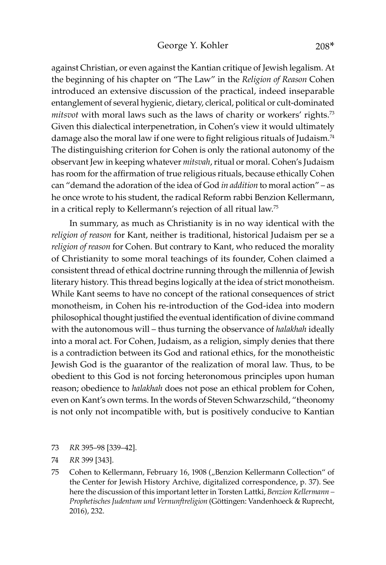against Christian, or even against the Kantian critique of Jewish legalism. At the beginning of his chapter on "The Law" in the *Religion of Reason* Cohen introduced an extensive discussion of the practical, indeed inseparable entanglement of several hygienic, dietary, clerical, political or cult-dominated *mitsvot* with moral laws such as the laws of charity or workers' rights.73 Given this dialectical interpenetration, in Cohen's view it would ultimately damage also the moral law if one were to fight religious rituals of Judaism.<sup>74</sup> The distinguishing criterion for Cohen is only the rational autonomy of the observant Jew in keeping whatever *mitsvah*, ritual or moral. Cohen's Judaism has room for the affirmation of true religious rituals, because ethically Cohen can "demand the adoration of the idea of God *in addition* to moral action" – as he once wrote to his student, the radical Reform rabbi Benzion Kellermann, in a critical reply to Kellermann's rejection of all ritual law.75

In summary, as much as Christianity is in no way identical with the *religion of reason* for Kant, neither is traditional, historical Judaism per se a *religion of reason* for Cohen. But contrary to Kant, who reduced the morality of Christianity to some moral teachings of its founder, Cohen claimed a consistent thread of ethical doctrine running through the millennia of Jewish literary history. This thread begins logically at the idea of strict monotheism. While Kant seems to have no concept of the rational consequences of strict monotheism, in Cohen his re-introduction of the God-idea into modern philosophical thought justified the eventual identification of divine command with the autonomous will – thus turning the observance of *halakhah* ideally into a moral act. For Cohen, Judaism, as a religion, simply denies that there is a contradiction between its God and rational ethics, for the monotheistic Jewish God is the guarantor of the realization of moral law. Thus, to be obedient to this God is not forcing heteronomous principles upon human reason; obedience to *halakhah* does not pose an ethical problem for Cohen, even on Kant's own terms. In the words of Steven Schwarzschild, "theonomy is not only not incompatible with, but is positively conducive to Kantian

73 *RR* 395–98 [339–42].

<sup>74</sup> *RR* 399 [343].

<sup>75</sup> Cohen to Kellermann, February 16, 1908 ("Benzion Kellermann Collection" of the Center for Jewish History Archive, digitalized correspondence, p. 37). See here the discussion of this important letter in Torsten Lattki, *Benzion Kellermann – Prophetisches Judentum und Vernunftreligion* (Göttingen: Vandenhoeck & Ruprecht, 2016), 232.